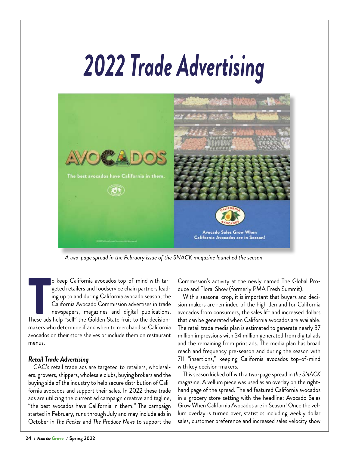## *2022 Trade Advertising*



*A two-page spread in the February issue of the SNACK magazine launched the season.*

These ads help "sell" the Golden State fruit to the decision-<br>These ads help "sell" the Golden State fruit to the decision-<br>These ads help "sell" the Golden State fruit to the decisiono keep California avocados top-of-mind with targeted retailers and foodservice chain partners leading up to and during California avocado season, the California Avocado Commission advertises in trade newspapers, magazines and digital publications. makers who determine if and when to merchandise California avocados on their store shelves or include them on restaurant menus.

## *Retail Trade Advertising*

CAC's retail trade ads are targeted to retailers, wholesalers, growers, shippers, wholesale clubs, buying brokers and the buying side of the industry to help secure distribution of California avocados and support their sales. In 2022 these trade ads are utilizing the current ad campaign creative and tagline, "the best avocados have California in them." The campaign started in February, runs through July and may include ads in October in *The Packer* and *The Produce News* to support the Commission's activity at the newly named The Global Produce and Floral Show (formerly PMA Fresh Summit).

With a seasonal crop, it is important that buyers and decision makers are reminded of the high demand for California avocados from consumers, the sales lift and increased dollars that can be generated when California avocados are available. The retail trade media plan is estimated to generate nearly 37 million impressions with 34 million generated from digital ads and the remaining from print ads. The media plan has broad reach and frequency pre-season and during the season with 711 "insertions," keeping California avocados top-of-mind with key decision-makers.

This season kicked off with a two-page spread in *the SNACK* magazine. A vellum piece was used as an overlay on the righthand page of the spread. The ad featured California avocados in a grocery store setting with the headline: Avocado Sales Grow When California Avocados are in Season! Once the vellum overlay is turned over, statistics including weekly dollar sales, customer preference and increased sales velocity show